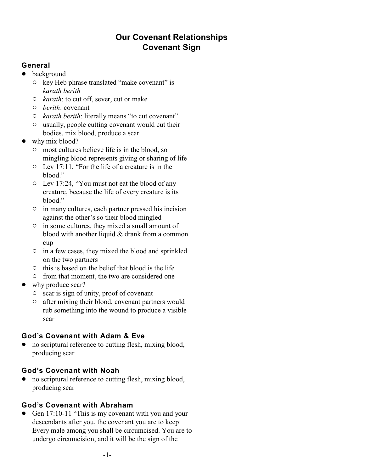# **Our Covenant Relationships Covenant Sign**

# **General**

- background
	- $\circ$  key Heb phrase translated "make covenant" is *karath berith*
	- " *karath*: to cut off, sever, cut or make
	- " *berith*: covenant
	- " *karath berith*: literally means "to cut covenant"
	- $\circ$  usually, people cutting covenant would cut their bodies, mix blood, produce a scar
- why mix blood?
	- $\circ$  most cultures believe life is in the blood, so mingling blood represents giving or sharing of life
	- $\circ$  Lev 17:11, "For the life of a creature is in the blood."
	- $\circ$  Lev 17:24, "You must not eat the blood of any creature, because the life of every creature is its blood."
	- $\circ$  in many cultures, each partner pressed his incision against the other's so their blood mingled
	- $\circ$  in some cultures, they mixed a small amount of blood with another liquid & drank from a common cup
	- $\circ$  in a few cases, they mixed the blood and sprinkled on the two partners
	- $\circ$  this is based on the belief that blood is the life
	- $\circ$  from that moment, the two are considered one
- why produce scar?
	- $\circ$  scar is sign of unity, proof of covenant
	- $\circ$  after mixing their blood, covenant partners would rub something into the wound to produce a visible scar

# **God's Covenant with Adam & Eve**

• no scriptural reference to cutting flesh, mixing blood, producing scar

# **God's Covenant with Noah**

• no scriptural reference to cutting flesh, mixing blood, producing scar

# **God's Covenant with Abraham**

Gen 17:10-11 "This is my covenant with you and your descendants after you, the covenant you are to keep: Every male among you shall be circumcised. You are to undergo circumcision, and it will be the sign of the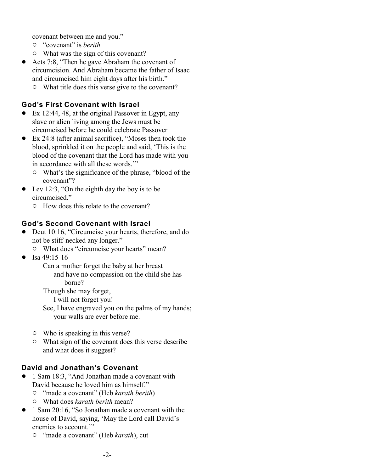covenant between me and you."

- " "covenant" is *berith*
- $\circ$  What was the sign of this covenant?
- Acts 7:8, "Then he gave Abraham the covenant of circumcision. And Abraham became the father of Isaac and circumcised him eight days after his birth."
	- $\circ$  What title does this verse give to the covenant?

### **God's First Covenant with Israel**

- Ex 12:44, 48, at the original Passover in Egypt, any slave or alien living among the Jews must be circumcised before he could celebrate Passover
- ! Ex 24:8 (after animal sacrifice), "Moses then took the blood, sprinkled it on the people and said, 'This is the blood of the covenant that the Lord has made with you in accordance with all these words.'"
	- $\circ$  What's the significance of the phrase, "blood of the covenant"?
- $\bullet$  Lev 12:3, "On the eighth day the boy is to be circumcised."
	- $\circ$  How does this relate to the covenant?

#### **God's Second Covenant with Israel**

- Deut 10:16, "Circumcise your hearts, therefore, and do not be stiff-necked any longer."
	- $\circ$  What does "circumcise your hearts" mean?
- Isa 49:15-16

Can a mother forget the baby at her breast and have no compassion on the child she has borne?

Though she may forget,

I will not forget you!

See, I have engraved you on the palms of my hands; your walls are ever before me.

- $\circ$  Who is speaking in this verse?
- $\circ$  What sign of the covenant does this verse describe and what does it suggest?

#### **David and Jonathan's Covenant**

- ! 1 Sam 18:3, "And Jonathan made a covenant with David because he loved him as himself."
	- " "made a covenant" (Heb *karath berith*)
	- " What does *karath berith* mean?
- 1 Sam 20:16, "So Jonathan made a covenant with the house of David, saying, 'May the Lord call David's enemies to account."
	- " "made a covenant" (Heb *karath*), cut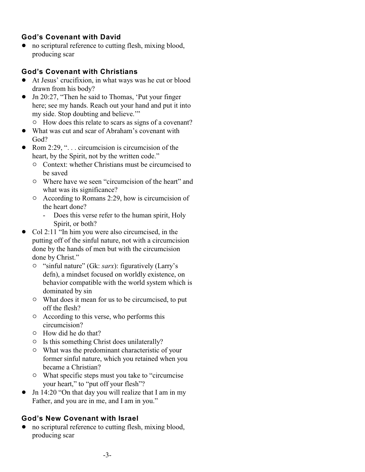# **God's Covenant with David**

• no scriptural reference to cutting flesh, mixing blood, producing scar

### **God's Covenant with Christians**

- ! At Jesus' crucifixion, in what ways was he cut or blood drawn from his body?
- Jn 20:27, "Then he said to Thomas, 'Put your finger here; see my hands. Reach out your hand and put it into my side. Stop doubting and believe."
	- $\circ$  How does this relate to scars as signs of a covenant?
- ! What was cut and scar of Abraham's covenant with God?
- Rom 2:29, " $\dots$  circumcision is circumcision of the heart, by the Spirit, not by the written code."
	- $\circ$  Context: whether Christians must be circumcised to be saved
	- $\circ$  Where have we seen "circumcision of the heart" and what was its significance?
	- $\circ$  According to Romans 2:29, how is circumcision of the heart done?
		- Does this verse refer to the human spirit, Holy Spirit, or both?
- Col 2:11 "In him you were also circumcised, in the putting off of the sinful nature, not with a circumcision done by the hands of men but with the circumcision done by Christ."
	- " "sinful nature" (Gk: *sarx*): figuratively (Larry's defn), a mindset focused on worldly existence, on behavior compatible with the world system which is dominated by sin
	- $\circ$  What does it mean for us to be circumcised, to put off the flesh?
	- $\circ$  According to this verse, who performs this circumcision?
	- $\circ$  How did he do that?
	- $\circ$  Is this something Christ does unilaterally?
	- $\circ$  What was the predominant characteristic of your former sinful nature, which you retained when you became a Christian?
	- What specific steps must you take to "circumcise" your heart," to "put off your flesh"?
- Jn 14:20 "On that day you will realize that I am in my Father, and you are in me, and I am in you."

# **God's New Covenant with Israel**

no scriptural reference to cutting flesh, mixing blood, producing scar